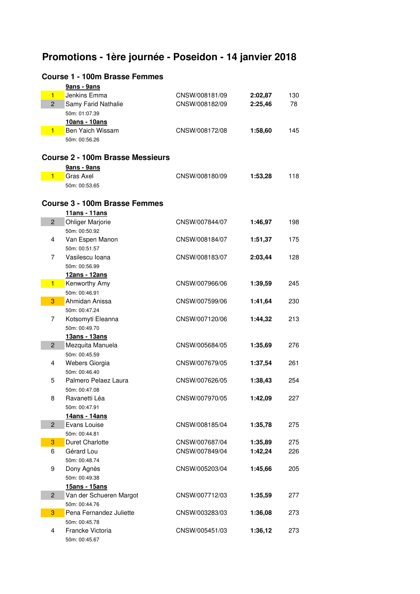# **Promotions - 1ère journée - Poseidon - 14 janvier 2018**

# **Course 1 - 100m Brasse Femmes**

|                | 9ans - 9ans                              |                |         |     |
|----------------|------------------------------------------|----------------|---------|-----|
| $\blacksquare$ | Jenkins Emma                             | CNSW/008181/09 | 2:02,87 | 130 |
| $\overline{2}$ | Samy Farid Nathalie                      | CNSW/008182/09 | 2:25,46 | 78  |
|                | 50m: 01:07.39                            |                |         |     |
|                | 10ans - 10ans                            |                |         |     |
| $\blacksquare$ | Ben Yaich Wissam                         | CNSW/008172/08 | 1:58,60 | 145 |
|                | 50m: 00:56.26                            |                |         |     |
|                |                                          |                |         |     |
|                | <b>Course 2 - 100m Brasse Messieurs</b>  |                |         |     |
|                | 9ans - 9ans                              |                |         |     |
| 1              | Gras Axel                                | CNSW/008180/09 | 1:53,28 | 118 |
|                | 50m: 00:53.65                            |                |         |     |
|                | <b>Course 3 - 100m Brasse Femmes</b>     |                |         |     |
|                |                                          |                |         |     |
| $\overline{2}$ | 11ans - 11ans                            | CNSW/007844/07 |         |     |
|                | <b>Ohliger Marjorie</b><br>50m: 00:50.92 |                | 1:46,97 | 198 |
| 4              | Van Espen Manon                          | CNSW/008184/07 |         | 175 |
|                | 50m: 00:51.57                            |                | 1:51,37 |     |
| 7              | Vasilescu Ioana                          | CNSW/008183/07 | 2:03,44 | 128 |
|                | 50m: 00:56.99                            |                |         |     |
|                | 12ans - 12ans                            |                |         |     |
| $\blacksquare$ | Kenworthy Amy                            | CNSW/007966/06 | 1:39,59 | 245 |
|                | 50m: 00:46.91                            |                |         |     |
| 3              | Ahmidan Anissa                           | CNSW/007599/06 | 1:41,64 | 230 |
|                | 50m: 00:47.24                            |                |         |     |
| 7              | Kotsomyti Eleanna                        | CNSW/007120/06 | 1:44,32 | 213 |
|                | 50m: 00:49.70                            |                |         |     |
|                | 13ans - 13ans                            |                |         |     |
| $\overline{2}$ | Mezquita Manuela                         | CNSW/005684/05 | 1:35,69 | 276 |
|                | 50m: 00:45.59                            |                |         |     |
| 4              | Webers Giorgia                           | CNSW/007679/05 | 1:37,54 | 261 |
|                | 50m: 00:46.40                            |                |         |     |
| 5              | Palmero Pelaez Laura                     | CNSW/007626/05 | 1:38,43 | 254 |
|                | 50m: 00:47.08                            |                |         |     |
| 8              | Ravanetti Léa                            | CNSW/007970/05 | 1:42,09 | 227 |
|                | 50m: 00:47.91                            |                |         |     |
|                | 14ans - 14ans                            |                |         |     |
| $\overline{2}$ | Evans Louise                             | CNSW/008185/04 | 1:35,78 | 275 |
|                | 50m: 00:44.81                            |                |         |     |
| 3              | <b>Duret Charlotte</b>                   | CNSW/007687/04 | 1:35,89 | 275 |
| 6              | Gérard Lou                               | CNSW/007849/04 | 1:42,24 | 226 |
|                | 50m: 00:48.74                            |                |         |     |
| 9              | Dony Agnès                               | CNSW/005203/04 | 1:45,66 | 205 |
|                | 50m: 00:49.38                            |                |         |     |
|                | 15ans - 15ans                            |                |         |     |
| $\overline{2}$ | Van der Schueren Margot                  | CNSW/007712/03 | 1:35,59 | 277 |
|                | 50m: 00:44.76                            |                |         |     |
| 3              | Pena Fernandez Juliette                  | CNSW/003283/03 | 1:36,08 | 273 |
|                | 50m: 00:45.78                            |                |         |     |
| 4              | Francke Victoria                         | CNSW/005451/03 | 1:36,12 | 273 |
|                | 50m: 00:45.67                            |                |         |     |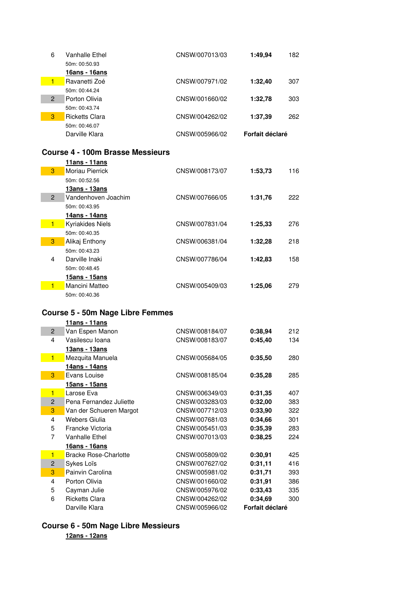| 6              | Vanhalle Ethel                   | CNSW/007013/03 | 1:49,94         | 182 |
|----------------|----------------------------------|----------------|-----------------|-----|
|                | 50m: 00:50.93                    |                |                 |     |
|                | 16ans - 16ans                    |                |                 |     |
| $\blacksquare$ | Ravanetti Zoé                    | CNSW/007971/02 | 1:32,40         | 307 |
|                | 50m: 00:44.24                    |                |                 |     |
| $\overline{2}$ | Porton Olivia                    | CNSW/001660/02 | 1:32,78         | 303 |
|                | 50m: 00:43.74                    |                |                 |     |
| 3              | <b>Ricketts Clara</b>            | CNSW/004262/02 | 1:37.39         | 262 |
|                | 50m: 00:46.07                    |                |                 |     |
|                | Darville Klara                   | CNSW/005966/02 | Forfait déclaré |     |
|                |                                  |                |                 |     |
|                | Course 4 - 100m Brasse Messieurs |                |                 |     |
|                | <u> 11ans - 11ans</u>            |                |                 |     |
| 3              | Moriau Pierrick                  | CNSW/008173/07 | 1:53,73         | 116 |
|                | 50m: 00:52.56                    |                |                 |     |
|                | 13ans - 13ans                    |                |                 |     |
| $\overline{2}$ | Vandenhoven Joachim              | CNSW/007666/05 | 1:31,76         | 222 |
|                | 50m: 00:43.95                    |                |                 |     |
|                | <u> 14ans - 14ans</u>            |                |                 |     |
|                | Kyriakides Niels                 | CNSW/007831/04 | 1:25,33         | 276 |
|                | 50m: 00:40.35                    |                |                 |     |
|                |                                  |                |                 |     |

|                | Tians - Tians           |                |         |     |
|----------------|-------------------------|----------------|---------|-----|
| 3              | Moriau Pierrick         | CNSW/008173/07 | 1:53,73 | 116 |
|                | 50m: 00:52.56           |                |         |     |
|                | 13ans - 13ans           |                |         |     |
| $\overline{2}$ | Vandenhoven Joachim     | CNSW/007666/05 | 1:31.76 | 222 |
|                | 50m: 00:43.95           |                |         |     |
|                | 14ans - 14ans           |                |         |     |
| 1              | <b>Kyriakides Niels</b> | CNSW/007831/04 | 1:25,33 | 276 |
|                | 50m: 00:40.35           |                |         |     |
| 3              | Alikai Enthony          | CNSW/006381/04 | 1:32,28 | 218 |
|                | 50m: 00:43.23           |                |         |     |
| 4              | Darville Inaki          | CNSW/007786/04 | 1:42,83 | 158 |
|                | 50m: 00:48.45           |                |         |     |
|                | 15ans - 15ans           |                |         |     |
| 1              | Mancini Matteo          | CNSW/005409/03 | 1:25,06 | 279 |
|                | 50m: 00:40.36           |                |         |     |

#### **Course 5 - 50m Nage Libre Femmes**

|                | 11ans - 11ans                |                |                 |     |
|----------------|------------------------------|----------------|-----------------|-----|
| $\overline{2}$ | Van Espen Manon              | CNSW/008184/07 | 0:38,94         | 212 |
| 4              | Vasilescu Ioana              | CNSW/008183/07 | 0:45,40         | 134 |
|                | 13ans - 13ans                |                |                 |     |
| $\blacksquare$ | Mezquita Manuela             | CNSW/005684/05 | 0:35,50         | 280 |
|                | <u> 14ans - 14ans</u>        |                |                 |     |
| 3              | Evans Louise                 | CNSW/008185/04 | 0:35,28         | 285 |
|                | 15ans - 15ans                |                |                 |     |
| $\blacksquare$ | Larose Eva                   | CNSW/006349/03 | 0:31,35         | 407 |
| $\overline{2}$ | Pena Fernandez Juliette      | CNSW/003283/03 | 0:32,00         | 383 |
| 3              | Van der Schueren Margot      | CNSW/007712/03 | 0:33,90         | 322 |
| 4              | Webers Giulia                | CNSW/007681/03 | 0:34.66         | 301 |
| 5              | Francke Victoria             | CNSW/005451/03 | 0:35,39         | 283 |
| 7              | <b>Vanhalle Ethel</b>        | CNSW/007013/03 | 0:38.25         | 224 |
|                | 16ans - 16ans                |                |                 |     |
| $\blacksquare$ | <b>Bracke Rose-Charlotte</b> | CNSW/005809/02 | 0:30,91         | 425 |
| $\overline{2}$ | Sykes Loïs                   | CNSW/007627/02 | 0:31,11         | 416 |
| 3              | Painvin Carolina             | CNSW/005981/02 | 0:31,71         | 393 |
| 4              | Porton Olivia                | CNSW/001660/02 | 0:31,91         | 386 |
| 5              | Cayman Julie                 | CNSW/005976/02 | 0:33.43         | 335 |
| 6              | <b>Ricketts Clara</b>        | CNSW/004262/02 | 0:34.69         | 300 |
|                | Darville Klara               | CNSW/005966/02 | Forfait déclaré |     |

## **Course 6 - 50m Nage Libre Messieurs 12ans - 12ans**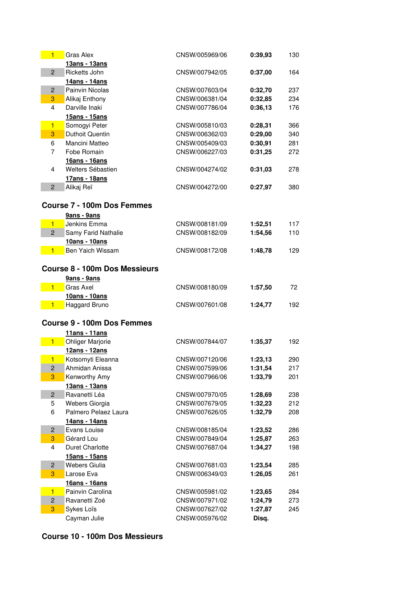| $\blacksquare$          | <b>Gras Alex</b>                     | CNSW/005969/06                   | 0:39,93 | 130 |
|-------------------------|--------------------------------------|----------------------------------|---------|-----|
|                         | 13ans - 13ans                        |                                  |         |     |
| $\overline{2}$          | Ricketts John                        | CNSW/007942/05                   | 0:37,00 | 164 |
|                         | 14ans - 14ans                        |                                  |         |     |
| $\overline{2}$          | Painvin Nicolas                      | CNSW/007603/04                   | 0:32,70 | 237 |
| 3                       | Alikaj Enthony                       | CNSW/006381/04                   | 0:32,85 | 234 |
| 4                       | Darville Inaki                       | CNSW/007786/04                   | 0:36,13 | 176 |
|                         | 15ans - 15ans                        |                                  |         |     |
| $\blacksquare$          | Somogyi Peter                        | CNSW/005810/03                   | 0:28,31 | 366 |
| 3                       | <b>Duthoit Quentin</b>               | CNSW/006362/03                   | 0:29,00 | 340 |
| 6                       | Mancini Matteo                       | CNSW/005409/03                   | 0:30,91 | 281 |
| 7                       | Fobe Romain                          | CNSW/006227/03                   | 0:31,25 | 272 |
|                         | 16ans - 16ans                        |                                  |         |     |
| $\overline{4}$          | Welters Sébastien                    | CNSW/004274/02                   | 0:31,03 | 278 |
|                         | 17ans - 18ans                        |                                  |         |     |
| $\overline{2}$          | Alikaj Reï                           | CNSW/004272/00                   | 0:27,97 | 380 |
|                         |                                      |                                  |         |     |
|                         | <b>Course 7 - 100m Dos Femmes</b>    |                                  |         |     |
|                         | 9ans - 9ans                          |                                  |         |     |
| $\blacksquare$          | Jenkins Emma                         | CNSW/008181/09                   | 1:52,51 | 117 |
| $\overline{2}$          | Samy Farid Nathalie                  | CNSW/008182/09                   | 1:54,56 | 110 |
|                         | 10ans - 10ans                        |                                  |         |     |
| $\blacksquare$          | Ben Yaich Wissam                     | CNSW/008172/08                   | 1:48,78 | 129 |
|                         |                                      |                                  |         |     |
|                         | <b>Course 8 - 100m Dos Messieurs</b> |                                  |         |     |
|                         | 9ans - 9ans                          |                                  |         |     |
| 1                       | Gras Axel                            | CNSW/008180/09                   | 1:57,50 | 72  |
|                         | 10ans - 10ans                        |                                  |         |     |
| 1                       | Haggard Bruno                        | CNSW/007601/08                   | 1:24,77 | 192 |
|                         | <b>Course 9 - 100m Dos Femmes</b>    |                                  |         |     |
|                         |                                      |                                  |         |     |
|                         | 11ans - 11ans                        |                                  |         |     |
| 1                       | <b>Ohliger Marjorie</b>              | CNSW/007844/07                   | 1:35,37 | 192 |
|                         | 12ans - 12ans                        |                                  |         |     |
| $\blacksquare$          | Kotsomyti Eleanna                    | CNSW/007120/06                   | 1:23,13 | 290 |
| $\overline{\mathbf{c}}$ | Ahmidan Anissa                       | CNSW/007599/06<br>CNSW/007966/06 | 1:31,54 | 217 |
| 3                       | Kenworthy Amy<br>13ans - 13ans       |                                  | 1:33,79 | 201 |
| $\overline{c}$          | Ravanetti Léa                        | CNSW/007970/05                   | 1:28,69 | 238 |
| 5                       | Webers Giorgia                       | CNSW/007679/05                   | 1:32,23 | 212 |
| 6                       | Palmero Pelaez Laura                 | CNSW/007626/05                   | 1:32,79 | 208 |
|                         | 14ans - 14ans                        |                                  |         |     |
| $\overline{c}$          | Evans Louise                         | CNSW/008185/04                   | 1:23,52 | 286 |
| 3                       | Gérard Lou                           | CNSW/007849/04                   | 1:25,87 | 263 |
| 4                       | <b>Duret Charlotte</b>               | CNSW/007687/04                   | 1:34,27 | 198 |
|                         | 15ans - 15ans                        |                                  |         |     |
| $\overline{c}$          | <b>Webers Giulia</b>                 | CNSW/007681/03                   | 1:23,54 | 285 |
| 3                       | Larose Eva                           | CNSW/006349/03                   | 1:26,05 | 261 |
|                         | 16ans - 16ans                        |                                  |         |     |
| $\blacksquare$          | Painvin Carolina                     | CNSW/005981/02                   | 1:23,65 | 284 |
| $\overline{c}$          | Ravanetti Zoé                        | CNSW/007971/02                   | 1:24,79 | 273 |
| 3                       | Sykes Loïs                           | CNSW/007627/02                   | 1:27,87 | 245 |
|                         | Cayman Julie                         | CNSW/005976/02                   | Disq.   |     |
|                         |                                      |                                  |         |     |

## **Course 10 - 100m Dos Messieurs**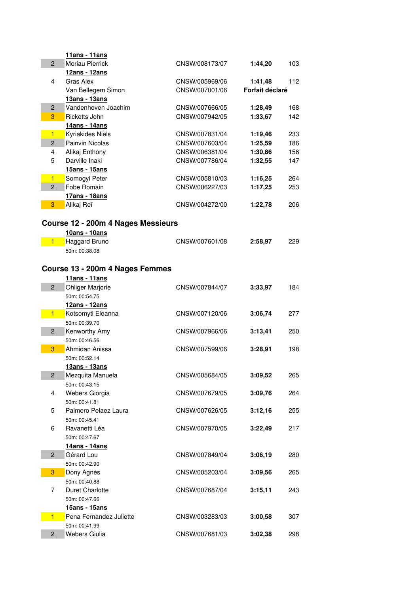|                     | 11ans - 11ans                         |                |                 |     |
|---------------------|---------------------------------------|----------------|-----------------|-----|
| $\overline{2}$      | Moriau Pierrick                       | CNSW/008173/07 | 1:44,20         | 103 |
|                     | 12ans - 12ans                         |                |                 |     |
| 4                   | Gras Alex                             | CNSW/005969/06 | 1:41,48         | 112 |
|                     | Van Bellegem Simon                    | CNSW/007001/06 | Forfait déclaré |     |
|                     | 13ans - 13ans                         |                |                 |     |
| $\overline{c}$      | Vandenhoven Joachim                   | CNSW/007666/05 | 1:28,49         | 168 |
| 3                   | Ricketts John                         | CNSW/007942/05 | 1:33,67         | 142 |
|                     | 14ans - 14ans                         |                |                 |     |
| $\blacksquare$      | Kyriakides Niels                      | CNSW/007831/04 | 1:19,46         | 233 |
| $\overline{2}$      | Painvin Nicolas                       | CNSW/007603/04 | 1:25,59         | 186 |
| $\overline{4}$<br>5 | Alikaj Enthony                        | CNSW/006381/04 | 1:30,86         | 156 |
|                     | Darville Inaki<br>15ans - 15ans       | CNSW/007786/04 | 1:32,55         | 147 |
| $\blacksquare$      | Somogyi Peter                         | CNSW/005810/03 | 1:16,25         | 264 |
| $\overline{2}$      | Fobe Romain                           | CNSW/006227/03 | 1:17,25         | 253 |
|                     | 17ans - 18ans                         |                |                 |     |
| 3                   | Alikaj Reï                            | CNSW/004272/00 | 1:22,78         | 206 |
|                     |                                       |                |                 |     |
|                     | Course 12 - 200m 4 Nages Messieurs    |                |                 |     |
|                     | 10ans - 10ans                         |                |                 |     |
| $\blacksquare$      | <b>Haggard Bruno</b>                  | CNSW/007601/08 | 2:58,97         | 229 |
|                     | 50m: 00:38.08                         |                |                 |     |
|                     |                                       |                |                 |     |
|                     | Course 13 - 200m 4 Nages Femmes       |                |                 |     |
|                     | 11ans - 11ans                         |                |                 |     |
| $\overline{2}$      | <b>Ohliger Marjorie</b>               | CNSW/007844/07 | 3:33,97         | 184 |
|                     | 50m: 00:54.75                         |                |                 |     |
|                     | 12ans - 12ans                         |                |                 |     |
| $\blacksquare$      | Kotsomyti Eleanna                     | CNSW/007120/06 | 3:06,74         | 277 |
|                     | 50m: 00:39.70                         |                |                 |     |
| $\overline{2}$      | Kenworthy Amy                         | CNSW/007966/06 | 3:13,41         | 250 |
|                     | 50m: 00:46.56                         |                |                 |     |
| 3                   | Ahmidan Anissa                        | CNSW/007599/06 | 3:28,91         | 198 |
|                     | 50m: 00:52.14                         |                |                 |     |
|                     | 13ans - 13ans                         |                |                 |     |
| $\overline{c}$      | Mezquita Manuela                      | CNSW/005684/05 | 3:09,52         | 265 |
|                     | 50m: 00:43.15                         |                |                 |     |
| 4                   | Webers Giorgia                        | CNSW/007679/05 | 3:09,76         | 264 |
|                     | 50m: 00:41.81                         |                |                 |     |
| 5                   | Palmero Pelaez Laura<br>50m: 00:45.41 | CNSW/007626/05 | 3:12,16         | 255 |
| 6                   | Ravanetti Léa                         | CNSW/007970/05 | 3:22,49         | 217 |
|                     | 50m: 00:47.67                         |                |                 |     |
|                     | 14ans - 14ans                         |                |                 |     |
| $\overline{2}$      | Gérard Lou                            | CNSW/007849/04 | 3:06,19         | 280 |
|                     | 50m: 00:42.90                         |                |                 |     |
| 3                   | Dony Agnès                            | CNSW/005203/04 | 3:09,56         | 265 |
|                     | 50m: 00:40.88                         |                |                 |     |
| 7                   | <b>Duret Charlotte</b>                | CNSW/007687/04 | 3:15,11         | 243 |
|                     | 50m: 00:47.66                         |                |                 |     |
|                     | 15ans - 15ans                         |                |                 |     |
| $\blacksquare$      | Pena Fernandez Juliette               | CNSW/003283/03 | 3:00,58         | 307 |
|                     | 50m: 00:41.99                         |                |                 |     |
| $\overline{2}$      | Webers Giulia                         | CNSW/007681/03 | 3:02,38         | 298 |
|                     |                                       |                |                 |     |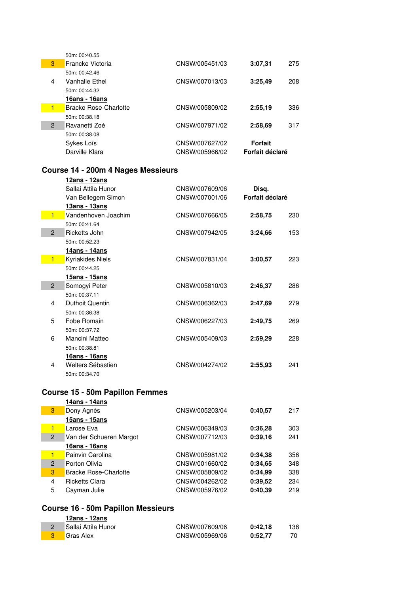|                | 50m: 00:40.55         |                |                 |     |
|----------------|-----------------------|----------------|-----------------|-----|
| 3              | Francke Victoria      | CNSW/005451/03 | 3:07,31         | 275 |
|                | 50m: 00:42.46         |                |                 |     |
| 4              | Vanhalle Ethel        | CNSW/007013/03 | 3:25.49         | 208 |
|                | 50m: 00:44.32         |                |                 |     |
|                | <u> 16ans - 16ans</u> |                |                 |     |
| 1              | Bracke Rose-Charlotte | CNSW/005809/02 | 2:55,19         | 336 |
|                | 50m: 00:38.18         |                |                 |     |
| $\overline{2}$ | Ravanetti Zoé         | CNSW/007971/02 | 2:58.69         | 317 |
|                | 50m: 00:38.08         |                |                 |     |
|                | Sykes Loïs            | CNSW/007627/02 | <b>Forfait</b>  |     |
|                | Darville Klara        | CNSW/005966/02 | Forfait déclaré |     |

#### **Course 14 - 200m 4 Nages Messieurs**

|                | <u> 12ans - 12ans</u> |                |                 |     |
|----------------|-----------------------|----------------|-----------------|-----|
|                | Sallai Attila Hunor   | CNSW/007609/06 | Disq.           |     |
|                | Van Bellegem Simon    | CNSW/007001/06 | Forfait déclaré |     |
|                | <u> 13ans - 13ans</u> |                |                 |     |
| $\blacksquare$ | Vandenhoven Joachim   | CNSW/007666/05 | 2:58,75         | 230 |
|                | 50m: 00:41.64         |                |                 |     |
| $\overline{2}$ | Ricketts John         | CNSW/007942/05 | 3:24,66         | 153 |
|                | 50m: 00:52.23         |                |                 |     |
|                | 14ans - 14ans         |                |                 |     |
| $\blacksquare$ | Kyriakides Niels      | CNSW/007831/04 | 3:00,57         | 223 |
|                | 50m: 00:44.25         |                |                 |     |
|                | 15ans - 15ans         |                |                 |     |
| $\overline{2}$ | Somogyi Peter         | CNSW/005810/03 | 2:46,37         | 286 |
|                | 50m: 00:37.11         |                |                 |     |
| 4              | Duthoit Quentin       | CNSW/006362/03 | 2:47,69         | 279 |
|                | 50m: 00:36.38         |                |                 |     |
| 5              | Fobe Romain           | CNSW/006227/03 | 2:49,75         | 269 |
|                | 50m: 00:37.72         |                |                 |     |
| 6              | Mancini Matteo        | CNSW/005409/03 | 2:59.29         | 228 |
|                | 50m: 00:38.81         |                |                 |     |
|                | <u> 16ans - 16ans</u> |                |                 |     |
| 4              | Welters Sébastien     | CNSW/004274/02 | 2:55,93         | 241 |
|                | 50m: 00:34.70         |                |                 |     |

### **Course 15 - 50m Papillon Femmes**

|                | 14ans - 14ans                |                |         |     |
|----------------|------------------------------|----------------|---------|-----|
| 3              | Dony Agnès                   | CNSW/005203/04 | 0:40,57 | 217 |
|                | 15ans - 15ans                |                |         |     |
| 1              | Larose Eva                   | CNSW/006349/03 | 0:36,28 | 303 |
| $\overline{2}$ | Van der Schueren Margot      | CNSW/007712/03 | 0:39.16 | 241 |
|                | 16ans - 16ans                |                |         |     |
| 1              | Painvin Carolina             | CNSW/005981/02 | 0:34.38 | 356 |
| $\overline{2}$ | Porton Olivia                | CNSW/001660/02 | 0:34.65 | 348 |
| 3              | <b>Bracke Rose-Charlotte</b> | CNSW/005809/02 | 0:34.99 | 338 |
| 4              | <b>Ricketts Clara</b>        | CNSW/004262/02 | 0:39.52 | 234 |
| 5              | Cayman Julie                 | CNSW/005976/02 | 0:40,39 | 219 |
|                |                              |                |         |     |

## **Course 16 - 50m Papillon Messieurs**

| 12ans - 12ans       |                |         |     |
|---------------------|----------------|---------|-----|
| Sallai Attila Hunor | CNSW/007609/06 | 0:42.18 | 138 |
| <b>Gras Alex</b>    | CNSW/005969/06 | 0:52.77 | 70  |